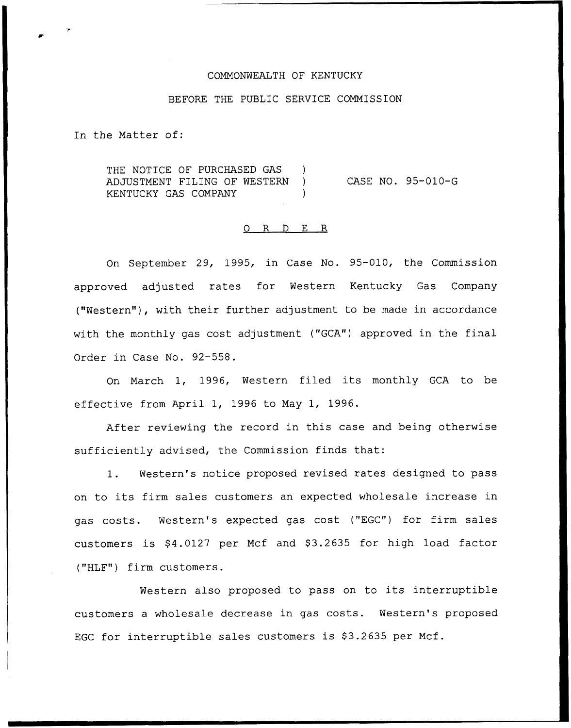## COMMONWEALTH OF KENTUCKY

### BEFORE THE PUBLIC SERVICE COMMISSION

In the Matter of:

THE NOTICE OF PURCHASED GAS ADJUSTMENT FILING OF WESTERN ) KENTUCKY GAS COMPANY CASE NO. 95-010-G

# 0 R <sup>D</sup> E R

On September 29, 1995, in Case No. 95-010, the Commission approved adjusted rates for Western Kentucky Gas Company ("Western"), with their further adjustment to be made in accordance with the monthly gas cost adjustment ("GCA") approved in the final Order in Case No. 92-558.

On March 1, 1996, Western filed its monthly GCA to be effective from April 1, 1996 to May 1, 1996.

After reviewing the record in this case and being otherwise sufficiently advised, the Commission finds that:

1. Western's notice proposed revised rates designed to pass on to its firm sales customers an expected wholesale increase in gas costs. Western's expected gas cost ("EGC") for firm sales customers is \$4.0127 per Mcf and \$3.2635 for high load factor ("HLF") firm customers.

Western also proposed to pass on to its interruptible customers a wholesale decrease in gas costs. Western's proposed EGC for interruptible sales customers is \$3.2635 per Mcf.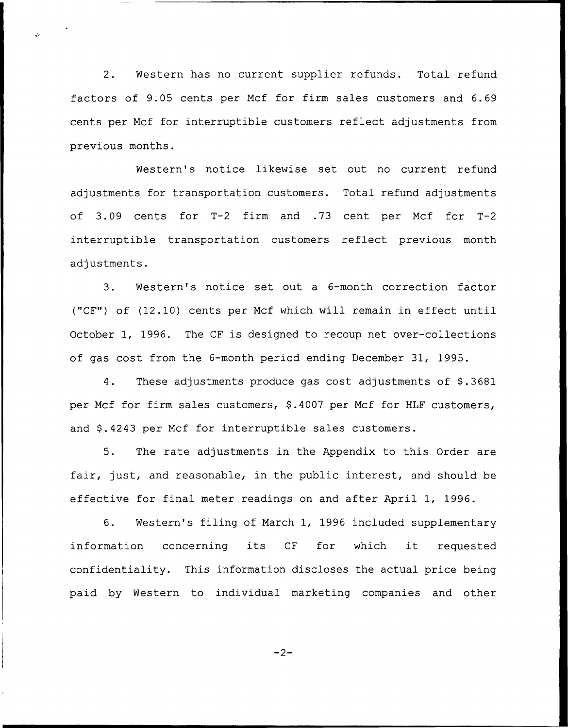2. Western has no current supplier refunds. Total refund factors of 9.05 cents per Mcf for firm sales customers and 6.69 cents per Ncf for interruptible customers reflect adjustments from previous months.

Western's notice likewise set out no current refund adjustments for transportation customers. Total refund adjustments of 3.09 cents for T-2 firm and .73 cent per Mcf for T-2 interruptible transportation customers reflect previous month adjustments.

3. Western's notice set out a 6-month correction factor ("CF") of (12.10) cents per Ncf which will remain in effect until October 1, 1996. The CF is designed to recoup net over-collections of gas cost from the 6-month period ending December 31, 1995.

4. These adjustments produce gas cost adjustments of \$.3681 per Mcf for firm sales customers, \$.4007 per Mcf for HLF customers, and \$.4243 per Mcf for interruptible sales customers.

5. The rate adjustments in the Appendix to this Order are fair, just, and reasonable, in the public interest, and should be effective for final meter readings on and after April 1, 1996.

6. Western's filing of March 1, 1996 included supplementary information concerning its CF for which it requested confidentiality. This information discloses the actual price being paid by Western to individual marketing companies and other

 $-2-$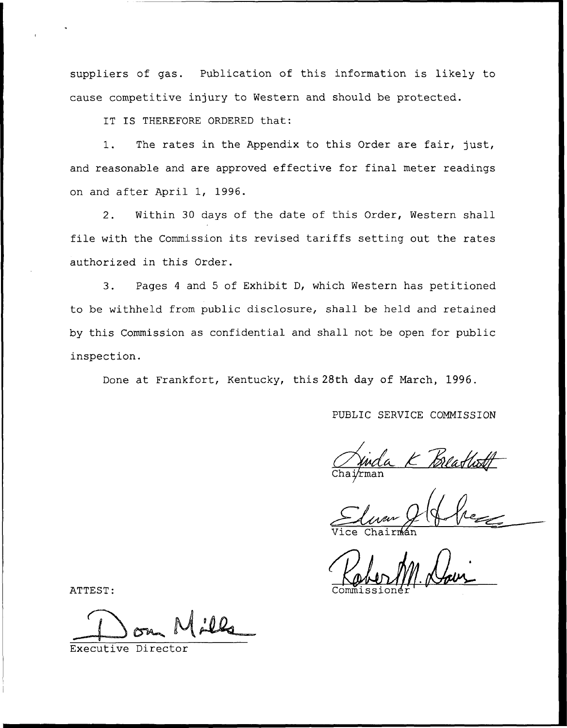suppliers of gas. Publication of this information is likely to cause competitive injury to Western and should be protected.

IT IS THEREFORE ORDERED that:

1. The rates in the Appendix to this Order are fair, just, and reasonable and are approved effective for final meter readings on and after April 1, 1996.

2. Within 30 days of the date of this Order, Western shall file with the Commission its revised tariffs setting out the rates authorized in this Order.

3. Pages <sup>4</sup> and <sup>5</sup> of Exhibit D, which Western has petitioned to be withheld from public disclosure, shall be held and retained by this Commission as confidential and shall not be open for public inspection.

Done at Frankfort, Kentucky, this 28th day of March, 1996.

PUBLIC SERVICE COMMISSION

Chai*rme* 

Vice Chairma

ATTEST: Commissione

Executive Dire